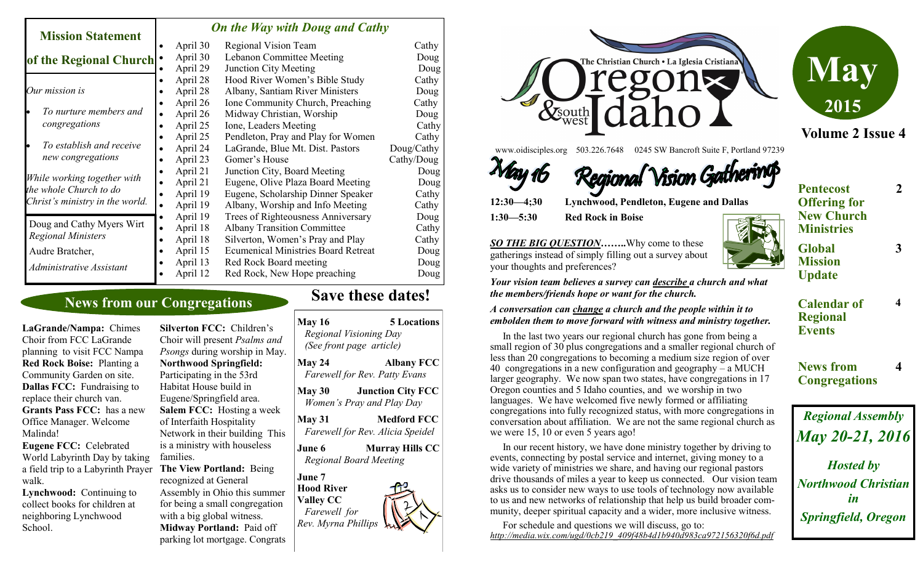#### *On the Way with Doug and Cathy*

| <b>Mission Statement</b>                                                                 |   | $\sigma$ <i>a</i> and $\sigma$ as $\sigma$ and $\sigma$ and $\sigma$ and $\sigma$ |                                            |            |  |
|------------------------------------------------------------------------------------------|---|-----------------------------------------------------------------------------------|--------------------------------------------|------------|--|
|                                                                                          |   | April 30                                                                          | Regional Vision Team                       | Cathy      |  |
| of the Regional Church                                                                   |   | April 30                                                                          | Lebanon Committee Meeting                  | Doug       |  |
|                                                                                          |   | April 29                                                                          | <b>Junction City Meeting</b>               | Doug       |  |
|                                                                                          |   | April 28                                                                          | Hood River Women's Bible Study             | Cathy      |  |
| Our mission is                                                                           |   | April 28                                                                          | Albany, Santiam River Ministers            | Doug       |  |
| To nurture members and<br>congregations                                                  |   | April 26                                                                          | Ione Community Church, Preaching           | Cathy      |  |
|                                                                                          |   | April 26                                                                          | Midway Christian, Worship                  | Doug       |  |
|                                                                                          |   | April 25                                                                          | Ione, Leaders Meeting                      | Cathy      |  |
| To establish and receive<br>new congregations                                            |   | April 25                                                                          | Pendleton, Pray and Play for Women         | Cathy      |  |
|                                                                                          |   | April 24                                                                          | LaGrande, Blue Mt. Dist. Pastors           | Doug/Cathy |  |
|                                                                                          |   | April 23                                                                          | Gomer's House                              | Cathy/Doug |  |
| While working together with<br>the whole Church to do<br>Christ's ministry in the world. |   | April 21                                                                          | Junction City, Board Meeting               | Doug       |  |
|                                                                                          |   | April 21                                                                          | Eugene, Olive Plaza Board Meeting          | Doug       |  |
|                                                                                          |   | April 19                                                                          | Eugene, Scholarship Dinner Speaker         | Cathy      |  |
|                                                                                          |   | April 19                                                                          | Albany, Worship and Info Meeting           | Cathy      |  |
|                                                                                          |   | April 19                                                                          | Trees of Righteousness Anniversary         | Doug       |  |
| Doug and Cathy Myers Wirt                                                                |   | April 18                                                                          | <b>Albany Transition Committee</b>         | Cathy      |  |
| <b>Regional Ministers</b>                                                                | ٠ | April 18                                                                          | Silverton, Women's Pray and Play           | Cathy      |  |
| Audre Bratcher,                                                                          |   | April 15                                                                          | <b>Ecumenical Ministries Board Retreat</b> | Doug       |  |
| Administrative Assistant                                                                 |   | April 13                                                                          | Red Rock Board meeting                     | Doug       |  |
|                                                                                          |   | April 12                                                                          | Red Rock, New Hope preaching               | Doug       |  |
|                                                                                          |   |                                                                                   |                                            |            |  |

## **News from our Congregations**

**LaGrande/Nampa:** Chimes Choir from FCC LaGrande planning to visit FCC Nampa **Red Rock Boise:** Planting a Community Garden on site. **Dallas FCC:** Fundraising to replace their church van. **Grants Pass FCC:** has a new Office Manager. Welcome Malinda! **Eugene FCC:** Celebrated

a field trip to a Labyrinth Prayer The View Portland: Being World Labyrinth Day by taking walk.

**Lynchwood:** Continuing to collect books for children at neighboring Lynchwood School.

**Silverton FCC:** Children's Choir will present *Psalms and Psongs* during worship in May. **Northwood Springfield:**  Participating in the 53rd Habitat House build in Eugene/Springfield area. **Salem FCC:** Hosting a week of Interfaith Hospitality Network in their building This is a ministry with houseless families. recognized at General Assembly in Ohio this summer for being a small congregation with a big global witness. **Midway Portland:** Paid off

parking lot mortgage. Congrats

# **Save these dates!**

| <b>May 16</b>                                                                   | <b>5 Locations</b><br>Regional Visioning Day<br>(See front page article) |
|---------------------------------------------------------------------------------|--------------------------------------------------------------------------|
| <b>May 24</b>                                                                   | <b>Albany FCC</b><br><b>Farewell for Rev. Patty Evans</b>                |
| <b>May 30</b>                                                                   | <b>Junction City FCC</b><br>Women's Pray and Play Day                    |
| <b>May 31</b>                                                                   | <b>Medford FCC</b><br>Farewell for Rev. Alicia Speidel                   |
| June 6                                                                          | <b>Murray Hills CC</b><br><b>Regional Board Meeting</b>                  |
| June 7<br>Hood River<br><b>Valley CC</b><br>Farewell for<br>Rev. Myrna Phillips |                                                                          |



*SO THE BIG QUESTION***……..**Why come to these gatherings instead of simply filling out a survey about your thoughts and preferences?

*Your vision team believes a survey can describe a church and what the members/friends hope or want for the church.* 

#### *A conversation can change a church and the people within it to embolden them to move forward with witness and ministry together.*

 In the last two years our regional church has gone from being a small region of 30 plus congregations and a smaller regional church of less than 20 congregations to becoming a medium size region of over 40 congregations in a new configuration and geography – a MUCH larger geography. We now span two states, have congregations in 17 Oregon counties and 5 Idaho counties, and we worship in two languages. We have welcomed five newly formed or affiliating congregations into fully recognized status, with more congregations in conversation about affiliation. We are not the same regional church as we were 15, 10 or even 5 years ago!

 In our recent history, we have done ministry together by driving to events, connecting by postal service and internet, giving money to a wide variety of ministries we share, and having our regional pastors drive thousands of miles a year to keep us connected. Our vision team asks us to consider new ways to use tools of technology now available to us and new networks of relationship that help us build broader community, deeper spiritual capacity and a wider, more inclusive witness.

 For schedule and questions we will discuss, go to: *http://media.wix.com/ugd/0cb219\_409f48b4d1b940d983ca972156320f6d.pdf*





**Events**

**Calendar of Regional** 

**2**

**3**

**4**

**4**

**News from Congregations**